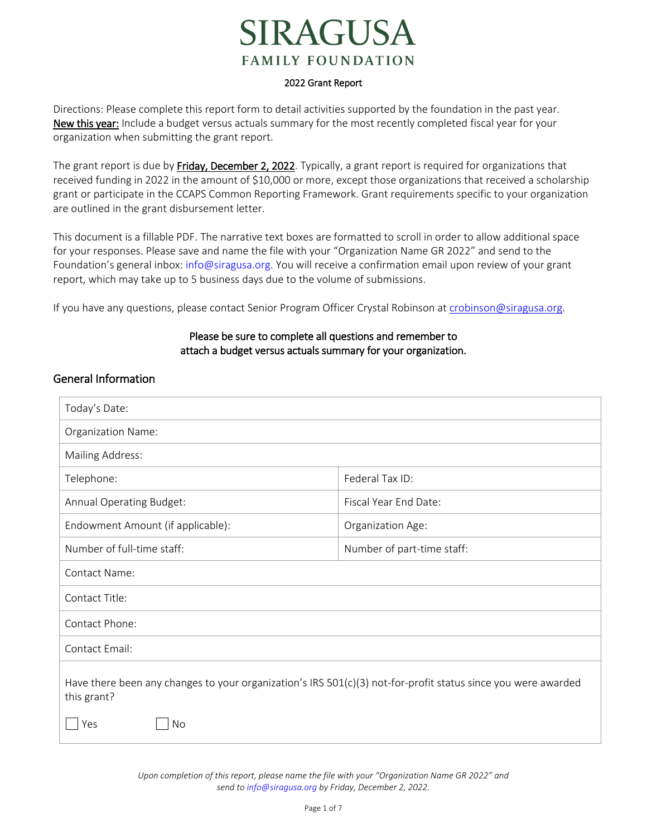# **RAGUSA FAMILY FOUNDATION**

#### 2022 Grant Report

Directions: Please complete this report form to detail activities supported by the foundation in the past year. New this year: Include a budget versus actuals summary for the most recently completed fiscal year for your organization when submitting the grant report.

The grant report is due by Friday, December 2, 2022. Typically, a grant report is required for organizations that received funding in 2022 in the amount of \$10,000 or more, except those organizations that received a scholarship grant or participate in the CCAPS Common Reporting Framework. Grant requirements specific to your organization are outlined in the grant disbursement letter.

This document is a fillable PDF. The narrative text boxes are formatted to scroll in order to allow additional space for your responses. Please save and name the file with your "Organization Name GR 2022" and send to the Foundation's general inbox: [info@siragusa.org.](mailto:info@siragusa.org) You will receive a confirmation email upon review of your grant report, which may take up to 5 business days due to the volume of submissions.

If you have any questions, please contact Senior Program Officer Crystal Robinson at [crobinson@siragusa.org.](mailto:crobinson@siragusa.org)

### Please be sure to complete all questions and remember to attach a budget versus actuals summary for your organization.

## General Information

| Today's Date:                                                                                                                               |                            |  |  |
|---------------------------------------------------------------------------------------------------------------------------------------------|----------------------------|--|--|
| Organization Name:                                                                                                                          |                            |  |  |
| Mailing Address:                                                                                                                            |                            |  |  |
| Telephone:                                                                                                                                  | Federal Tax ID:            |  |  |
| Annual Operating Budget:                                                                                                                    | Fiscal Year End Date:      |  |  |
| Endowment Amount (if applicable):                                                                                                           | Organization Age:          |  |  |
| Number of full-time staff:                                                                                                                  | Number of part-time staff: |  |  |
| Contact Name:                                                                                                                               |                            |  |  |
| Contact Title:                                                                                                                              |                            |  |  |
| Contact Phone:                                                                                                                              |                            |  |  |
| Contact Email:                                                                                                                              |                            |  |  |
| Have there been any changes to your organization's IRS $501(c)(3)$ not-for-profit status since you were awarded<br>this grant?<br>Yes<br>No |                            |  |  |

*Upon completion of this report, please name the file with your "Organization Name GR 2022" and send to [info@siragusa.org](mailto:info@siragusa.org) by Friday, December 2, 2022.*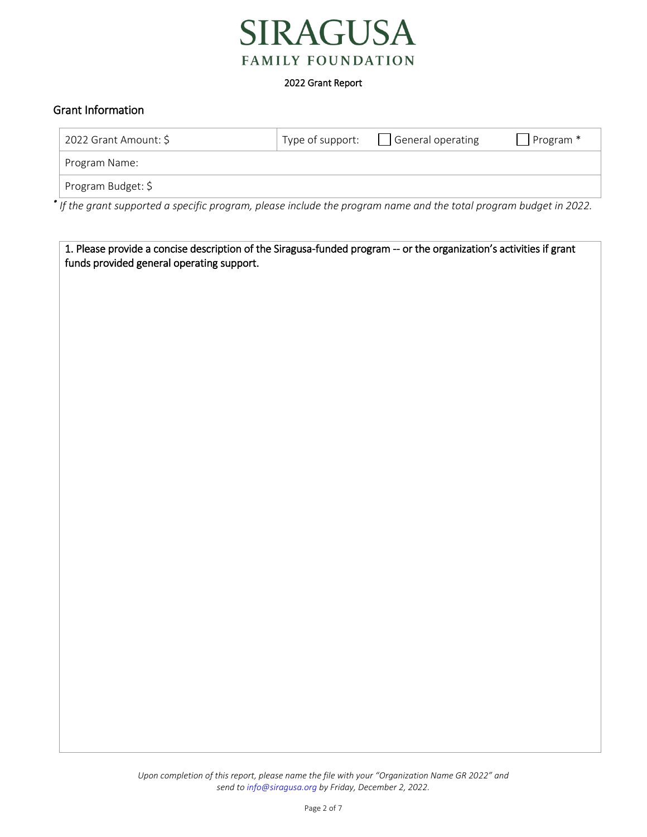

## Grant Information

funds provided general operating support.

| 2022 Grant Amount: \$                                                                                              | Type of support: | General operating | Program <sup>*</sup> |
|--------------------------------------------------------------------------------------------------------------------|------------------|-------------------|----------------------|
| Program Name:                                                                                                      |                  |                   |                      |
| Program Budget: \$                                                                                                 |                  |                   |                      |
| * If the grant supported a specific program, please include the program name and the total program budget in 2022. |                  |                   |                      |

1. Please provide a concise description of the Siragusa-funded program -- or the organization's activities if grant

*Upon completion of this report, please name the file with your "Organization Name GR 2022" and send to [info@siragusa.org](mailto:info@siragusa.org) by Friday, December 2, 2022.*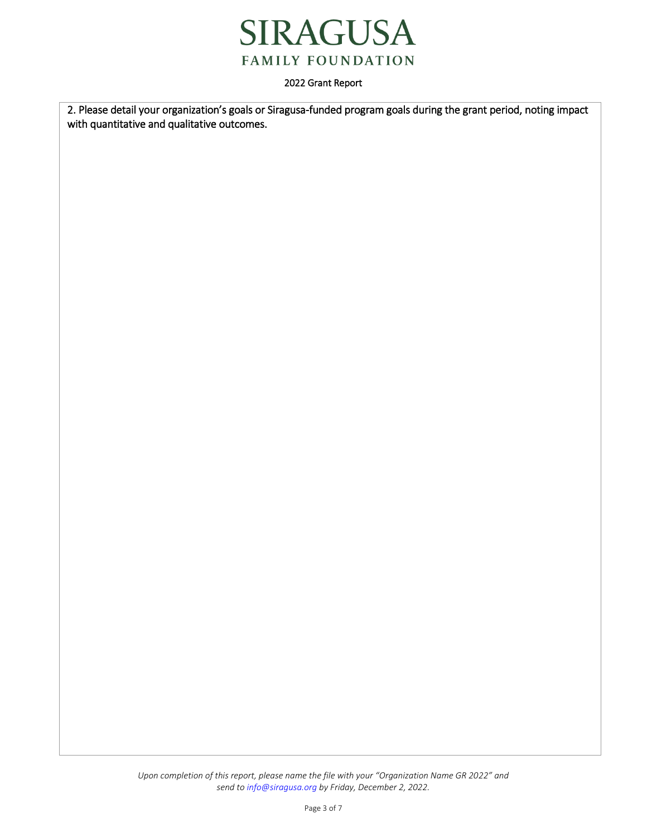

2. Please detail your organization's goals or Siragusa-funded program goals during the grant period, noting impact with quantitative and qualitative outcomes.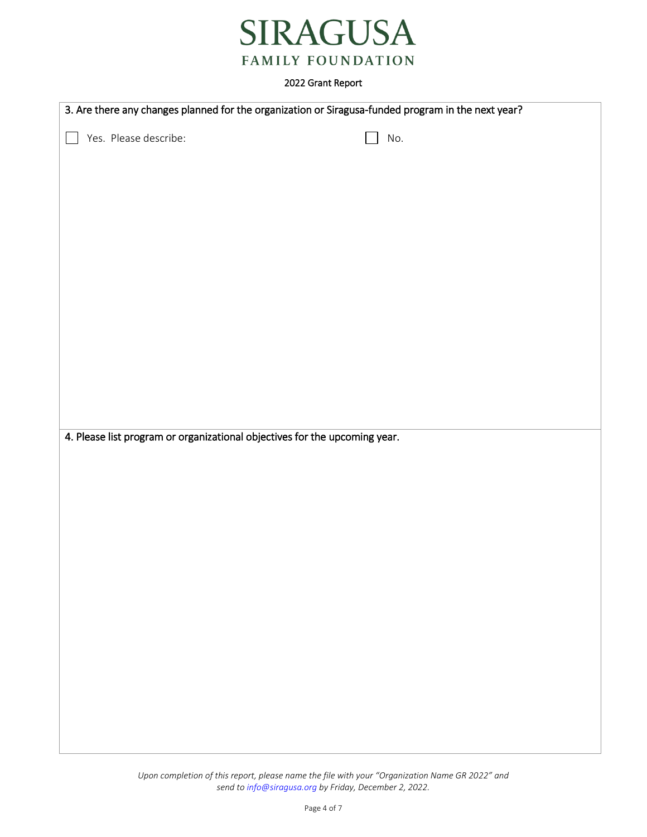

|                                                                            | 3. Are there any changes planned for the organization or Siragusa-funded program in the next year? |  |  |  |
|----------------------------------------------------------------------------|----------------------------------------------------------------------------------------------------|--|--|--|
| Yes. Please describe:                                                      | No.                                                                                                |  |  |  |
|                                                                            |                                                                                                    |  |  |  |
|                                                                            |                                                                                                    |  |  |  |
|                                                                            |                                                                                                    |  |  |  |
|                                                                            |                                                                                                    |  |  |  |
|                                                                            |                                                                                                    |  |  |  |
|                                                                            |                                                                                                    |  |  |  |
|                                                                            |                                                                                                    |  |  |  |
|                                                                            |                                                                                                    |  |  |  |
|                                                                            |                                                                                                    |  |  |  |
|                                                                            |                                                                                                    |  |  |  |
|                                                                            |                                                                                                    |  |  |  |
|                                                                            |                                                                                                    |  |  |  |
| 4. Please list program or organizational objectives for the upcoming year. |                                                                                                    |  |  |  |
|                                                                            |                                                                                                    |  |  |  |
|                                                                            |                                                                                                    |  |  |  |
|                                                                            |                                                                                                    |  |  |  |
|                                                                            |                                                                                                    |  |  |  |
|                                                                            |                                                                                                    |  |  |  |
|                                                                            |                                                                                                    |  |  |  |
|                                                                            |                                                                                                    |  |  |  |
|                                                                            |                                                                                                    |  |  |  |
|                                                                            |                                                                                                    |  |  |  |
|                                                                            |                                                                                                    |  |  |  |
|                                                                            |                                                                                                    |  |  |  |
|                                                                            |                                                                                                    |  |  |  |
|                                                                            |                                                                                                    |  |  |  |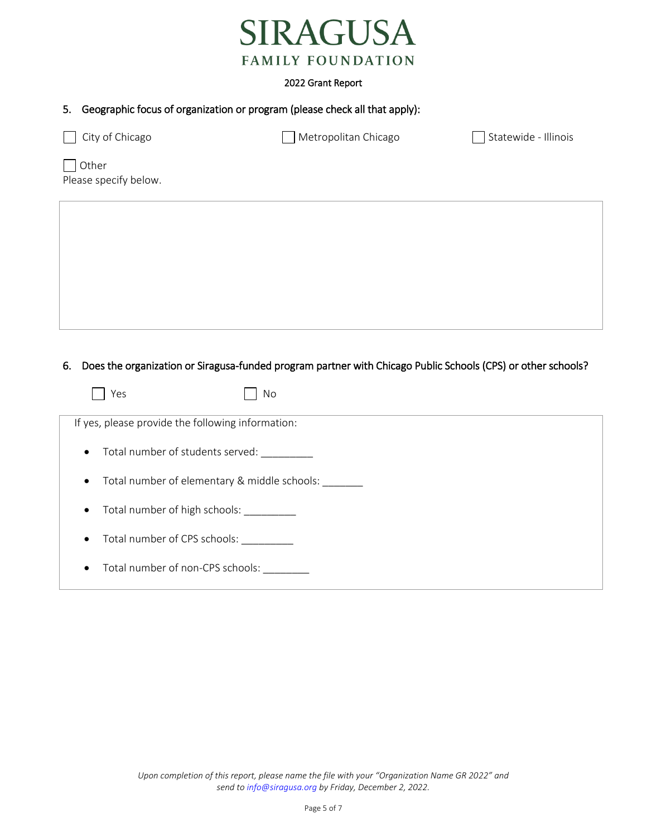

# 5. Geographic focus of organization or program (please check all that apply):

| City of Chicago<br>$\mathbf{I}$ | Metropolitan Chicago | Statewide - Illinois |
|---------------------------------|----------------------|----------------------|
| Other<br>Please specify below.  |                      |                      |
|                                 |                      |                      |
|                                 |                      |                      |
|                                 |                      |                      |
|                                 |                      |                      |
|                                 |                      |                      |

## 6. Does the organization or Siragusa-funded program partner with Chicago Public Schools (CPS) or other schools?

| Yes                                                       | No |
|-----------------------------------------------------------|----|
| If yes, please provide the following information:         |    |
| Total number of students served:<br>$\bullet$             |    |
| Total number of elementary & middle schools:<br>$\bullet$ |    |
| Total number of high schools:<br>$\bullet$                |    |
| Total number of CPS schools:<br>$\bullet$                 |    |
| Total number of non-CPS schools:<br>$\bullet$             |    |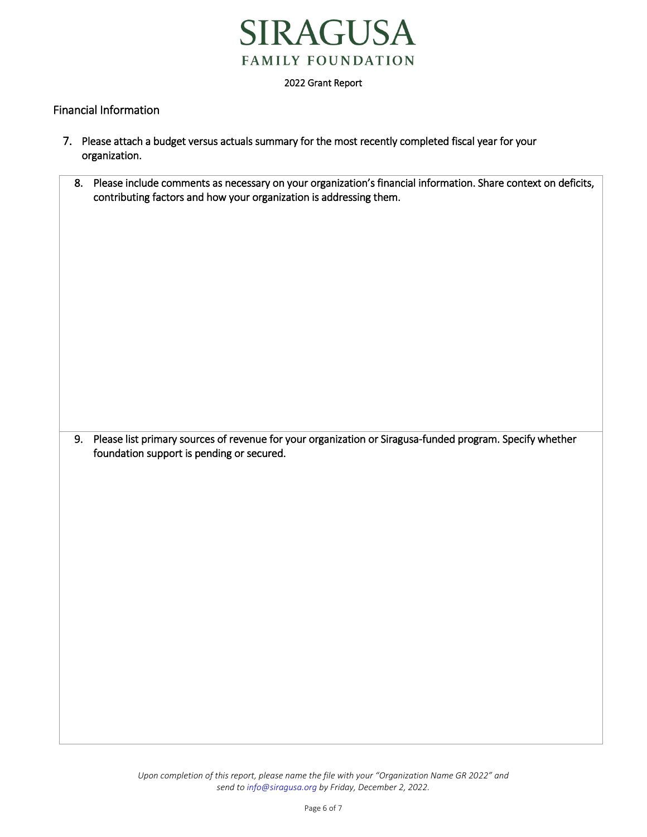

## Financial Information

- 7. Please attach a budget versus actuals summary for the most recently completed fiscal year for your organization.
	- 8. Please include comments as necessary on your organization's financial information. Share context on deficits, contributing factors and how your organization is addressing them.

9. Please list primary sources of revenue for your organization or Siragusa-funded program. Specify whether foundation support is pending or secured.